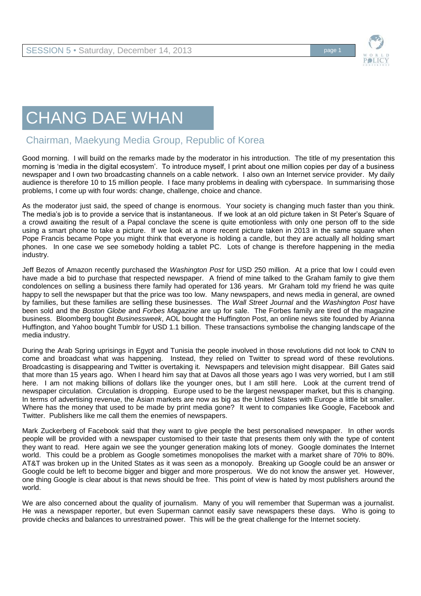

## CHANG DAE WHAN

## Chairman, Maekyung Media Group, Republic of Korea

Good morning. I will build on the remarks made by the moderator in his introduction. The title of my presentation this morning is 'media in the digital ecosystem'. To introduce myself, I print about one million copies per day of a business newspaper and I own two broadcasting channels on a cable network. I also own an Internet service provider. My daily audience is therefore 10 to 15 million people. I face many problems in dealing with cyberspace. In summarising those problems, I come up with four words: change, challenge, choice and chance.

As the moderator just said, the speed of change is enormous. Your society is changing much faster than you think. The media's job is to provide a service that is instantaneous. If we look at an old picture taken in St Peter's Square of a crowd awaiting the result of a Papal conclave the scene is quite emotionless with only one person off to the side using a smart phone to take a picture. If we look at a more recent picture taken in 2013 in the same square when Pope Francis became Pope you might think that everyone is holding a candle, but they are actually all holding smart phones. In one case we see somebody holding a tablet PC. Lots of change is therefore happening in the media industry.

Jeff Bezos of Amazon recently purchased the *Washington Post* for USD 250 million. At a price that low I could even have made a bid to purchase that respected newspaper. A friend of mine talked to the Graham family to give them condolences on selling a business there family had operated for 136 years. Mr Graham told my friend he was quite happy to sell the newspaper but that the price was too low. Many newspapers, and news media in general, are owned by families, but these families are selling these businesses. The *Wall Street Journal* and the *Washington Post* have been sold and the *Boston Globe* and *Forbes Magazine* are up for sale. The Forbes family are tired of the magazine business. Bloomberg bought *Businessweek*, AOL bought the Huffington Post, an online news site founded by Arianna Huffington, and Yahoo bought Tumblr for USD 1.1 billion. These transactions symbolise the changing landscape of the media industry.

During the Arab Spring uprisings in Egypt and Tunisia the people involved in those revolutions did not look to CNN to come and broadcast what was happening. Instead, they relied on Twitter to spread word of these revolutions. Broadcasting is disappearing and Twitter is overtaking it. Newspapers and television might disappear. Bill Gates said that more than 15 years ago. When I heard him say that at Davos all those years ago I was very worried, but I am still here. I am not making billions of dollars like the younger ones, but I am still here. Look at the current trend of newspaper circulation. Circulation is dropping. Europe used to be the largest newspaper market, but this is changing. In terms of advertising revenue, the Asian markets are now as big as the United States with Europe a little bit smaller. Where has the money that used to be made by print media gone? It went to companies like Google, Facebook and Twitter. Publishers like me call them the enemies of newspapers.

Mark Zuckerberg of Facebook said that they want to give people the best personalised newspaper. In other words people will be provided with a newspaper customised to their taste that presents them only with the type of content they want to read. Here again we see the younger generation making lots of money. Google dominates the Internet world. This could be a problem as Google sometimes monopolises the market with a market share of 70% to 80%. AT&T was broken up in the United States as it was seen as a monopoly. Breaking up Google could be an answer or Google could be left to become bigger and bigger and more prosperous. We do not know the answer yet. However, one thing Google is clear about is that news should be free. This point of view is hated by most publishers around the world.

We are also concerned about the quality of journalism. Many of you will remember that Superman was a journalist. He was a newspaper reporter, but even Superman cannot easily save newspapers these days. Who is going to provide checks and balances to unrestrained power. This will be the great challenge for the Internet society.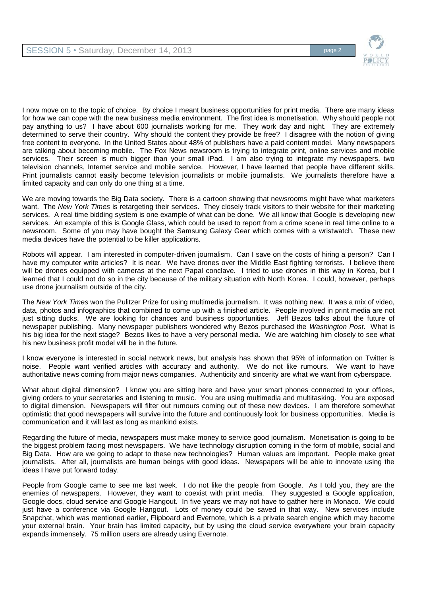

I now move on to the topic of choice. By choice I meant business opportunities for print media. There are many ideas for how we can cope with the new business media environment. The first idea is monetisation. Why should people not pay anything to us? I have about 600 journalists working for me. They work day and night. They are extremely determined to serve their country. Why should the content they provide be free? I disagree with the notion of giving free content to everyone. In the United States about 48% of publishers have a paid content model. Many newspapers are talking about becoming mobile. The Fox News newsroom is trying to integrate print, online services and mobile services. Their screen is much bigger than your small iPad. I am also trying to integrate my newspapers, two television channels, Internet service and mobile service. However, I have learned that people have different skills. Print journalists cannot easily become television journalists or mobile journalists. We journalists therefore have a limited capacity and can only do one thing at a time.

We are moving towards the Big Data society. There is a cartoon showing that newsrooms might have what marketers want. The *New York Times* is retargeting their services. They closely track visitors to their website for their marketing services. A real time bidding system is one example of what can be done. We all know that Google is developing new services. An example of this is Google Glass, which could be used to report from a crime scene in real time online to a newsroom. Some of you may have bought the Samsung Galaxy Gear which comes with a wristwatch. These new media devices have the potential to be killer applications.

Robots will appear. I am interested in computer-driven journalism. Can I save on the costs of hiring a person? Can I have my computer write articles? It is near. We have drones over the Middle East fighting terrorists. I believe there will be drones equipped with cameras at the next Papal conclave. I tried to use drones in this way in Korea, but I learned that I could not do so in the city because of the military situation with North Korea. I could, however, perhaps use drone journalism outside of the city.

The *New York Times* won the Pulitzer Prize for using multimedia journalism. It was nothing new. It was a mix of video, data, photos and infographics that combined to come up with a finished article. People involved in print media are not just sitting ducks. We are looking for chances and business opportunities. Jeff Bezos talks about the future of newspaper publishing. Many newspaper publishers wondered why Bezos purchased the *Washington Post*. What is his big idea for the next stage? Bezos likes to have a very personal media. We are watching him closely to see what his new business profit model will be in the future.

I know everyone is interested in social network news, but analysis has shown that 95% of information on Twitter is noise. People want verified articles with accuracy and authority. We do not like rumours. We want to have authoritative news coming from major news companies. Authenticity and sincerity are what we want from cyberspace.

What about digital dimension? I know you are sitting here and have your smart phones connected to your offices, giving orders to your secretaries and listening to music. You are using multimedia and multitasking. You are exposed to digital dimension. Newspapers will filter out rumours coming out of these new devices. I am therefore somewhat optimistic that good newspapers will survive into the future and continuously look for business opportunities. Media is communication and it will last as long as mankind exists.

Regarding the future of media, newspapers must make money to service good journalism. Monetisation is going to be the biggest problem facing most newspapers. We have technology disruption coming in the form of mobile, social and Big Data. How are we going to adapt to these new technologies? Human values are important. People make great journalists. After all, journalists are human beings with good ideas. Newspapers will be able to innovate using the ideas I have put forward today.

People from Google came to see me last week. I do not like the people from Google. As I told you, they are the enemies of newspapers. However, they want to coexist with print media. They suggested a Google application, Google docs, cloud service and Google Hangout. In five years we may not have to gather here in Monaco. We could just have a conference via Google Hangout. Lots of money could be saved in that way. New services include Snapchat, which was mentioned earlier, Flipboard and Evernote, which is a private search engine which may become your external brain. Your brain has limited capacity, but by using the cloud service everywhere your brain capacity expands immensely. 75 million users are already using Evernote.